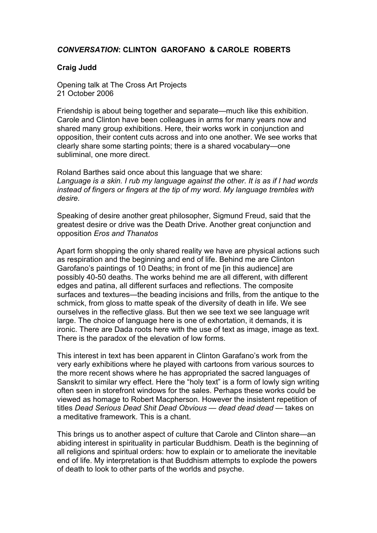## *CONVERSATION***: CLINTON GAROFANO & CAROLE ROBERTS**

## **Craig Judd**

Opening talk at The Cross Art Projects 21 October 2006

Friendship is about being together and separate—much like this exhibition. Carole and Clinton have been colleagues in arms for many years now and shared many group exhibitions. Here, their works work in conjunction and opposition, their content cuts across and into one another. We see works that clearly share some starting points; there is a shared vocabulary—one subliminal, one more direct.

Roland Barthes said once about this language that we share: *Language is a skin. I rub my language against the other. It is as if I had words instead of fingers or fingers at the tip of my word. My language trembles with desire.*

Speaking of desire another great philosopher, Sigmund Freud, said that the greatest desire or drive was the Death Drive. Another great conjunction and opposition *Eros and Thanatos*

Apart form shopping the only shared reality we have are physical actions such as respiration and the beginning and end of life. Behind me are Clinton Garofano's paintings of 10 Deaths; in front of me [in this audience] are possibly 40-50 deaths. The works behind me are all different, with different edges and patina, all different surfaces and reflections. The composite surfaces and textures—the beading incisions and frills, from the antique to the schmick, from gloss to matte speak of the diversity of death in life. We see ourselves in the reflective glass. But then we see text we see language writ large. The choice of language here is one of exhortation, it demands, it is ironic. There are Dada roots here with the use of text as image, image as text. There is the paradox of the elevation of low forms.

This interest in text has been apparent in Clinton Garafano's work from the very early exhibitions where he played with cartoons from various sources to the more recent shows where he has appropriated the sacred languages of Sanskrit to similar wry effect. Here the "holy text" is a form of lowly sign writing often seen in storefront windows for the sales. Perhaps these works could be viewed as homage to Robert Macpherson. However the insistent repetition of titles *Dead Serious Dead Shit Dead Obvious — dead dead dead* — takes on a meditative framework. This is a chant.

This brings us to another aspect of culture that Carole and Clinton share—an abiding interest in spirituality in particular Buddhism. Death is the beginning of all religions and spiritual orders: how to explain or to ameliorate the inevitable end of life. My interpretation is that Buddhism attempts to explode the powers of death to look to other parts of the worlds and psyche.